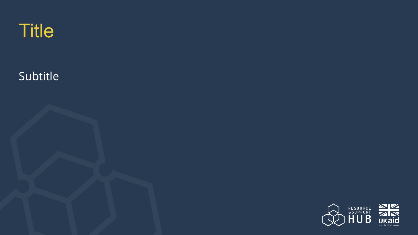

### Subtitle

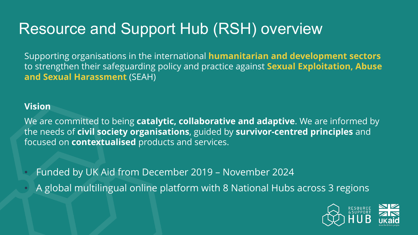# Resource and Support Hub (RSH) overview

Supporting organisations in the international **humanitarian and development sectors** to strengthen their safeguarding policy and practice against **Sexual Exploitation, Abuse and Sexual Harassment** (SEAH)

#### **Vision**

We are committed to being **catalytic, collaborative and adaptive**. We are informed by the needs of **civil society organisations**, guided by **survivor-centred principles** and focused on **contextualised** products and services.

- Funded by UK Aid from December 2019 November 2024
- A global multilingual online platform with 8 National Hubs across 3 regions

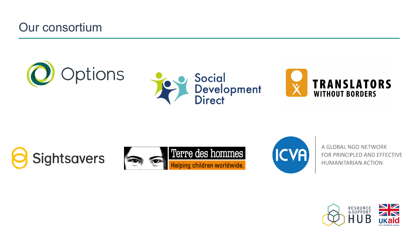### Our consortium









A GLOBAL NGO NETWORK FOR PRINCIPLED AND EFFECTIVE **HUMANITARIAN ACTION** 

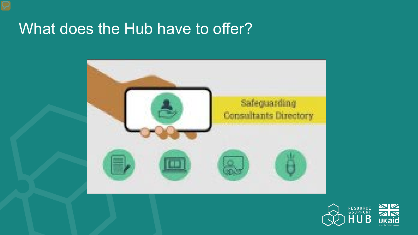## What does the Hub have to offer?



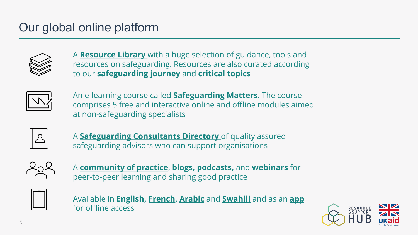### Our global online platform



A **[Resource Library](https://safeguardingsupporthub.org/sw/materials)** with a huge selection of guidance, tools and resources on safeguarding. Resources are also curated according to our **[safeguarding journey](https://safeguardingsupporthub.org/journey)** and **[critical topics](https://safeguardingsupporthub.org/theme/rsh-topics-critical-areas-safeguarding)**



An e-learning course called **[Safeguarding Matters](https://safeguardingsupporthub.org/learning)**. The course comprises 5 free and interactive online and offline modules aimed at non-safeguarding specialists



A **[Safeguarding Consultants Directory](https://safeguardingsupporthub.org/providers)** of quality assured safeguarding advisors who can support organisations



A **[community of practice](https://safeguardingsupporthub.org/forum)**, **[blogs](https://safeguardingsupporthub.org/rsh-blogs), [podcasts](https://safeguardingsupporthub.org/podcasts),** and **[webinars](https://safeguardingsupporthub.org/webinars)** for peer-to-peer learning and sharing good practice



Available in **English, [French](https://safeguardingsupporthub.org/fr), [Arabic](https://mena.safeguardingsupporthub.org/ar)** and **[Swahili](https://safeguardingsupporthub.org/sw)** and as an **[app](https://safeguardingsupporthub.org/app-install)** for offline access

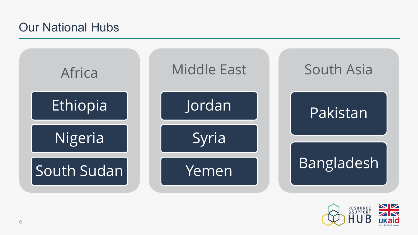### Our National Hubs



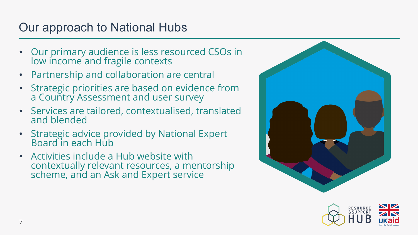### Our approach to National Hubs

- Our primary audience is less resourced CSOs in low income and fragile contexts
- Partnership and collaboration are central
- Strategic priorities are based on evidence from a Country Assessment and user survey
- Services are tailored, contextualised, translated and blended
- Strategic advice provided by National Expert Board in each Hub
- Activities include a Hub website with contextually relevant resources, a mentorship scheme, and an Ask and Expert service